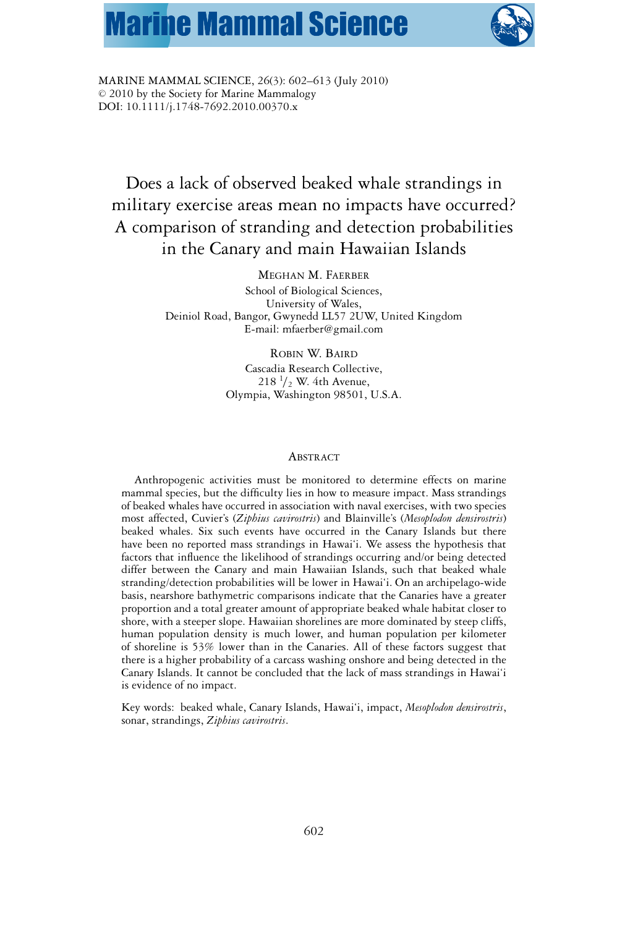# **Marine Mammal Science**



MARINE MAMMAL SCIENCE, 26(3): 602–613 (July 2010)  $© 2010$  by the Society for Marine Mammalogy DOI: 10.1111/j.1748-7692.2010.00370.x

# Does a lack of observed beaked whale strandings in military exercise areas mean no impacts have occurred? A comparison of stranding and detection probabilities in the Canary and main Hawaiian Islands

### MEGHAN M. FAERBER

School of Biological Sciences, University of Wales, Deiniol Road, Bangor, Gwynedd LL57 2UW, United Kingdom E-mail: mfaerber@gmail.com

## ROBIN W. BAIRD

Cascadia Research Collective, 218  $\frac{1}{2}$  W. 4th Avenue, Olympia, Washington 98501, U.S.A.

#### **ABSTRACT**

Anthropogenic activities must be monitored to determine effects on marine mammal species, but the difficulty lies in how to measure impact. Mass strandings of beaked whales have occurred in association with naval exercises, with two species most affected, Cuvier's (*Ziphius cavirostris*) and Blainville's (*Mesoplodon densirostris*) beaked whales. Six such events have occurred in the Canary Islands but there have been no reported mass strandings in Hawai'i. We assess the hypothesis that factors that influence the likelihood of strandings occurring and/or being detected differ between the Canary and main Hawaiian Islands, such that beaked whale stranding/detection probabilities will be lower in Hawai'i. On an archipelago-wide basis, nearshore bathymetric comparisons indicate that the Canaries have a greater proportion and a total greater amount of appropriate beaked whale habitat closer to shore, with a steeper slope. Hawaiian shorelines are more dominated by steep cliffs, human population density is much lower, and human population per kilometer of shoreline is 53% lower than in the Canaries. All of these factors suggest that there is a higher probability of a carcass washing onshore and being detected in the Canary Islands. It cannot be concluded that the lack of mass strandings in Hawai'i is evidence of no impact.

Key words: beaked whale, Canary Islands, Hawai'i, impact, *Mesoplodon densirostris*, sonar, strandings, *Ziphius cavirostris*.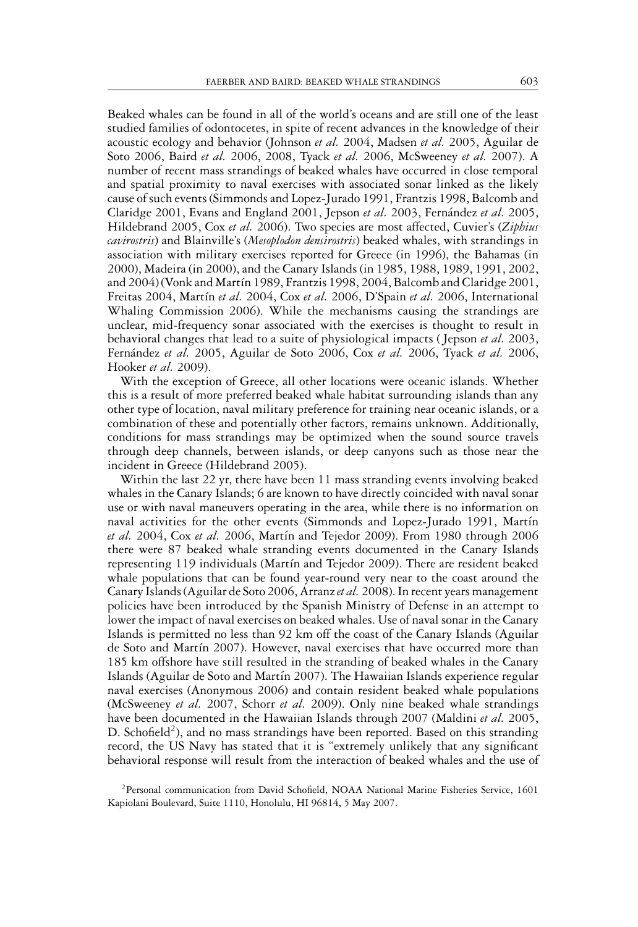Beaked whales can be found in all of the world's oceans and are still one of the least studied families of odontocetes, in spite of recent advances in the knowledge of their acoustic ecology and behavior (Johnson *et al.* 2004, Madsen *et al.* 2005, Aguilar de Soto 2006, Baird *et al.* 2006, 2008, Tyack *et al.* 2006, McSweeney *et al.* 2007). A number of recent mass strandings of beaked whales have occurred in close temporal and spatial proximity to naval exercises with associated sonar linked as the likely cause of such events (Simmonds and Lopez-Jurado 1991, Frantzis 1998, Balcomb and Claridge 2001, Evans and England 2001, Jepson et al. 2003, Fernández et al. 2005, Hildebrand 2005, Cox *et al.* 2006). Two species are most affected, Cuvier's (*Ziphius cavirostris*) and Blainville's (*Mesoplodon densirostris*) beaked whales, with strandings in association with military exercises reported for Greece (in 1996), the Bahamas (in 2000), Madeira (in 2000), and the Canary Islands (in 1985, 1988, 1989, 1991, 2002, and 2004) (Vonk and Martín 1989, Frantzis 1998, 2004, Balcomb and Claridge 2001, Freitas 2004, Martín *et al.* 2004, Cox *et al.* 2006, D'Spain *et al.* 2006, International Whaling Commission 2006). While the mechanisms causing the strandings are unclear, mid-frequency sonar associated with the exercises is thought to result in behavioral changes that lead to a suite of physiological impacts ( Jepson *et al.* 2003, Fernández et al. 2005, Aguilar de Soto 2006, Cox et al. 2006, Tyack et al. 2006, Hooker *et al.* 2009).

With the exception of Greece, all other locations were oceanic islands. Whether this is a result of more preferred beaked whale habitat surrounding islands than any other type of location, naval military preference for training near oceanic islands, or a combination of these and potentially other factors, remains unknown. Additionally, conditions for mass strandings may be optimized when the sound source travels through deep channels, between islands, or deep canyons such as those near the incident in Greece (Hildebrand 2005).

Within the last 22 yr, there have been 11 mass stranding events involving beaked whales in the Canary Islands; 6 are known to have directly coincided with naval sonar use or with naval maneuvers operating in the area, while there is no information on naval activities for the other events (Simmonds and Lopez-Jurado 1991, Martín *et al.* 2004, Cox *et al.* 2006, Martín and Tejedor 2009). From 1980 through 2006 there were 87 beaked whale stranding events documented in the Canary Islands representing 119 individuals (Martín and Tejedor 2009). There are resident beaked whale populations that can be found year-round very near to the coast around the Canary Islands (Aguilar de Soto 2006, Arranz*et al.* 2008). In recent years management policies have been introduced by the Spanish Ministry of Defense in an attempt to lower the impact of naval exercises on beaked whales. Use of naval sonar in the Canary Islands is permitted no less than 92 km off the coast of the Canary Islands (Aguilar de Soto and Martín 2007). However, naval exercises that have occurred more than 185 km offshore have still resulted in the stranding of beaked whales in the Canary Islands (Aguilar de Soto and Martín 2007). The Hawaiian Islands experience regular naval exercises (Anonymous 2006) and contain resident beaked whale populations (McSweeney *et al.* 2007, Schorr *et al.* 2009). Only nine beaked whale strandings have been documented in the Hawaiian Islands through 2007 (Maldini *et al.* 2005, D. Schofield<sup>2</sup>), and no mass strandings have been reported. Based on this stranding record, the US Navy has stated that it is "extremely unlikely that any significant behavioral response will result from the interaction of beaked whales and the use of

<sup>&</sup>lt;sup>2</sup>Personal communication from David Schofield, NOAA National Marine Fisheries Service, 1601 Kapiolani Boulevard, Suite 1110, Honolulu, HI 96814, 5 May 2007.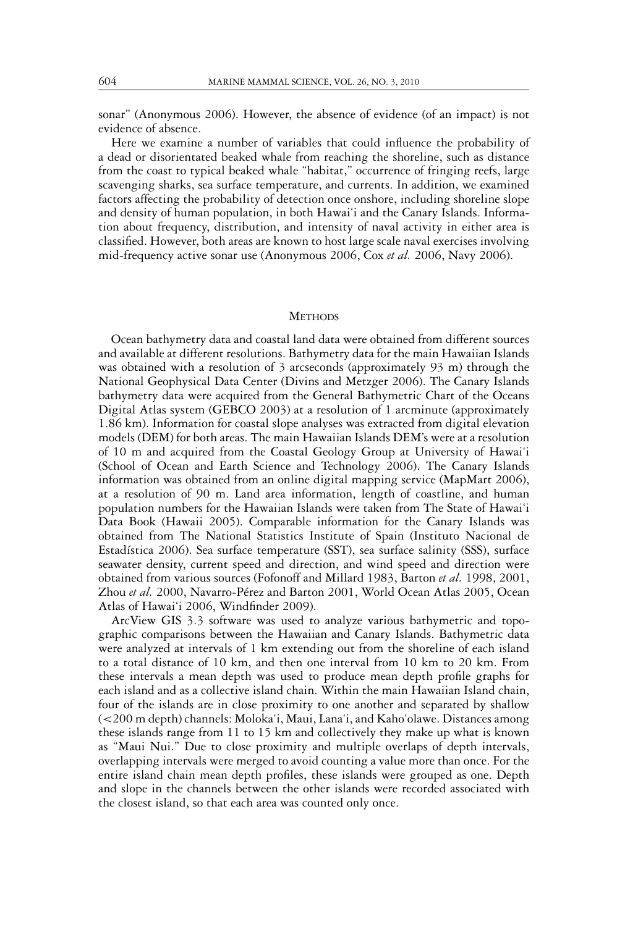sonar" (Anonymous 2006). However, the absence of evidence (of an impact) is not evidence of absence.

Here we examine a number of variables that could influence the probability of a dead or disorientated beaked whale from reaching the shoreline, such as distance from the coast to typical beaked whale "habitat," occurrence of fringing reefs, large scavenging sharks, sea surface temperature, and currents. In addition, we examined factors affecting the probability of detection once onshore, including shoreline slope and density of human population, in both Hawai'i and the Canary Islands. Information about frequency, distribution, and intensity of naval activity in either area is classified. However, both areas are known to host large scale naval exercises involving mid-frequency active sonar use (Anonymous 2006, Cox *et al.* 2006, Navy 2006).

#### **METHODS**

Ocean bathymetry data and coastal land data were obtained from different sources and available at different resolutions. Bathymetry data for the main Hawaiian Islands was obtained with a resolution of 3 arcseconds (approximately 93 m) through the National Geophysical Data Center (Divins and Metzger 2006). The Canary Islands bathymetry data were acquired from the General Bathymetric Chart of the Oceans Digital Atlas system (GEBCO 2003) at a resolution of 1 arcminute (approximately 1.86 km). Information for coastal slope analyses was extracted from digital elevation models (DEM) for both areas. The main Hawaiian Islands DEM's were at a resolution of 10 m and acquired from the Coastal Geology Group at University of Hawai'i (School of Ocean and Earth Science and Technology 2006). The Canary Islands information was obtained from an online digital mapping service (MapMart 2006), at a resolution of 90 m. Land area information, length of coastline, and human population numbers for the Hawaiian Islands were taken from The State of Hawai'i Data Book (Hawaii 2005). Comparable information for the Canary Islands was obtained from The National Statistics Institute of Spain (Instituto Nacional de Estadística 2006). Sea surface temperature (SST), sea surface salinity (SSS), surface seawater density, current speed and direction, and wind speed and direction were obtained from various sources (Fofonoff and Millard 1983, Barton *et al.* 1998, 2001, Zhou et al. 2000, Navarro-Pérez and Barton 2001, World Ocean Atlas 2005, Ocean Atlas of Hawai'i 2006, Windfinder 2009).

ArcView GIS 3.3 software was used to analyze various bathymetric and topographic comparisons between the Hawaiian and Canary Islands. Bathymetric data were analyzed at intervals of 1 km extending out from the shoreline of each island to a total distance of 10 km, and then one interval from 10 km to 20 km. From these intervals a mean depth was used to produce mean depth profile graphs for each island and as a collective island chain. Within the main Hawaiian Island chain, four of the islands are in close proximity to one another and separated by shallow (<200 m depth) channels: Moloka'i, Maui, Lana'i, and Kaho'olawe. Distances among these islands range from 11 to 15 km and collectively they make up what is known as "Maui Nui." Due to close proximity and multiple overlaps of depth intervals, overlapping intervals were merged to avoid counting a value more than once. For the entire island chain mean depth profiles, these islands were grouped as one. Depth and slope in the channels between the other islands were recorded associated with the closest island, so that each area was counted only once.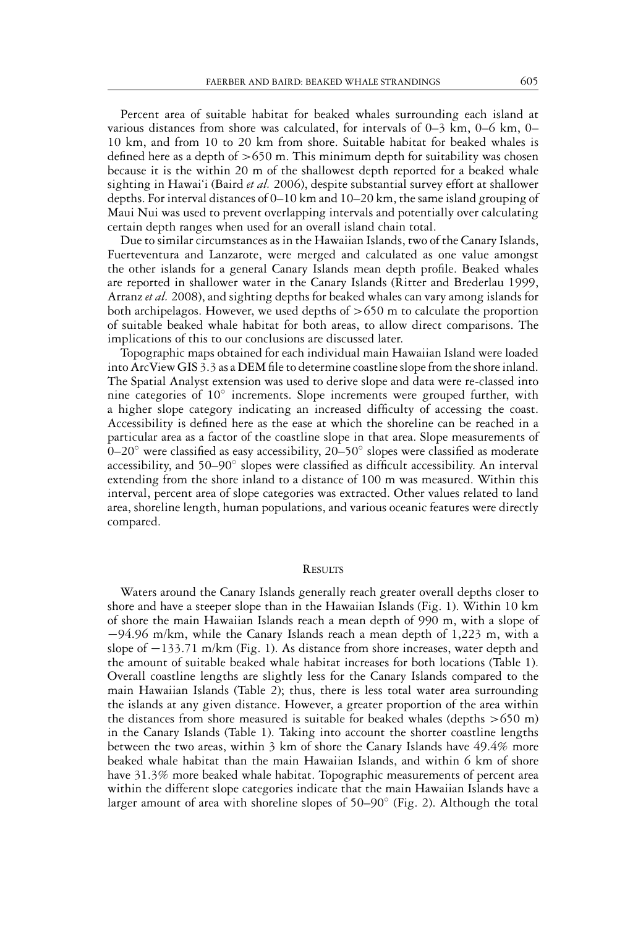Percent area of suitable habitat for beaked whales surrounding each island at various distances from shore was calculated, for intervals of 0–3 km, 0–6 km, 0– 10 km, and from 10 to 20 km from shore. Suitable habitat for beaked whales is defined here as a depth of  $>650$  m. This minimum depth for suitability was chosen because it is the within 20 m of the shallowest depth reported for a beaked whale sighting in Hawai'i (Baird *et al.* 2006), despite substantial survey effort at shallower depths. For interval distances of 0–10 km and 10–20 km, the same island grouping of Maui Nui was used to prevent overlapping intervals and potentially over calculating certain depth ranges when used for an overall island chain total.

Due to similar circumstances as in the Hawaiian Islands, two of the Canary Islands, Fuerteventura and Lanzarote, were merged and calculated as one value amongst the other islands for a general Canary Islands mean depth profile. Beaked whales are reported in shallower water in the Canary Islands (Ritter and Brederlau 1999, Arranz *et al.* 2008), and sighting depths for beaked whales can vary among islands for both archipelagos. However, we used depths of >650 m to calculate the proportion of suitable beaked whale habitat for both areas, to allow direct comparisons. The implications of this to our conclusions are discussed later.

Topographic maps obtained for each individual main Hawaiian Island were loaded into ArcView GIS 3.3 as a DEM file to determine coastline slope from the shore inland. The Spatial Analyst extension was used to derive slope and data were re-classed into nine categories of 10◦ increments. Slope increments were grouped further, with a higher slope category indicating an increased difficulty of accessing the coast. Accessibility is defined here as the ease at which the shoreline can be reached in a particular area as a factor of the coastline slope in that area. Slope measurements of 0–20◦ were classified as easy accessibility, 20–50◦ slopes were classified as moderate accessibility, and 50–90◦ slopes were classified as difficult accessibility. An interval extending from the shore inland to a distance of 100 m was measured. Within this interval, percent area of slope categories was extracted. Other values related to land area, shoreline length, human populations, and various oceanic features were directly compared.

#### **RESULTS**

Waters around the Canary Islands generally reach greater overall depths closer to shore and have a steeper slope than in the Hawaiian Islands (Fig. 1). Within 10 km of shore the main Hawaiian Islands reach a mean depth of 990 m, with a slope of −94.96 m/km, while the Canary Islands reach a mean depth of 1,223 m, with a slope of −133.71 m/km (Fig. 1). As distance from shore increases, water depth and the amount of suitable beaked whale habitat increases for both locations (Table 1). Overall coastline lengths are slightly less for the Canary Islands compared to the main Hawaiian Islands (Table 2); thus, there is less total water area surrounding the islands at any given distance. However, a greater proportion of the area within the distances from shore measured is suitable for beaked whales (depths  $>650$  m) in the Canary Islands (Table 1). Taking into account the shorter coastline lengths between the two areas, within 3 km of shore the Canary Islands have 49.4% more beaked whale habitat than the main Hawaiian Islands, and within 6 km of shore have 31.3% more beaked whale habitat. Topographic measurements of percent area within the different slope categories indicate that the main Hawaiian Islands have a larger amount of area with shoreline slopes of  $50-90°$  (Fig. 2). Although the total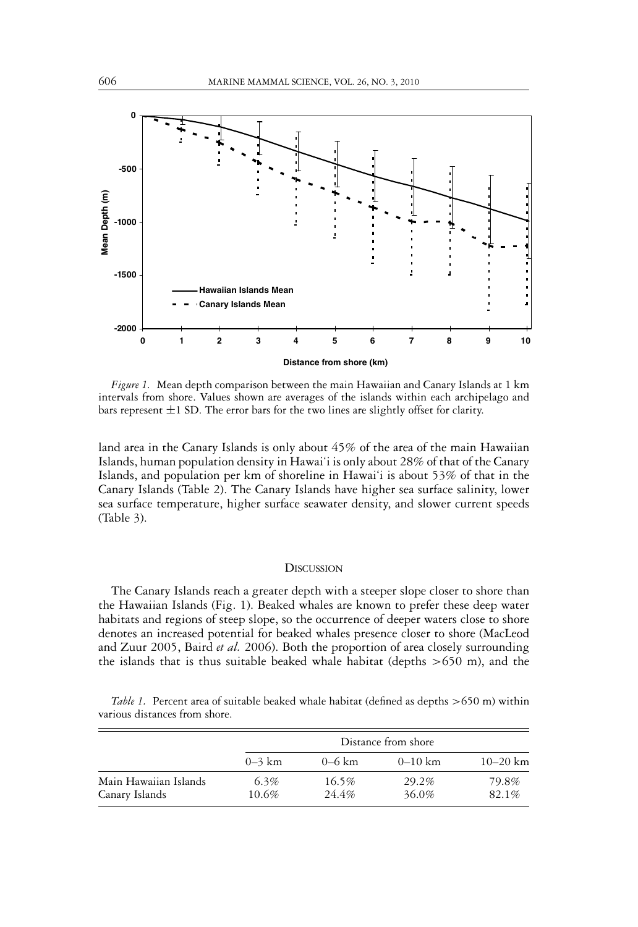

*Figure 1.* Mean depth comparison between the main Hawaiian and Canary Islands at 1 km intervals from shore. Values shown are averages of the islands within each archipelago and bars represent  $\pm 1$  SD. The error bars for the two lines are slightly offset for clarity.

land area in the Canary Islands is only about 45% of the area of the main Hawaiian Islands, human population density in Hawai'i is only about 28% of that of the Canary Islands, and population per km of shoreline in Hawai'i is about 53% of that in the Canary Islands (Table 2). The Canary Islands have higher sea surface salinity, lower sea surface temperature, higher surface seawater density, and slower current speeds (Table 3).

#### **DISCUSSION**

The Canary Islands reach a greater depth with a steeper slope closer to shore than the Hawaiian Islands (Fig. 1). Beaked whales are known to prefer these deep water habitats and regions of steep slope, so the occurrence of deeper waters close to shore denotes an increased potential for beaked whales presence closer to shore (MacLeod and Zuur 2005, Baird *et al.* 2006). Both the proportion of area closely surrounding the islands that is thus suitable beaked whale habitat (depths  $>650$  m), and the

*Table 1.* Percent area of suitable beaked whale habitat (defined as depths >650 m) within various distances from shore.

|                                         | Distance from shore |                    |                   |                |  |  |
|-----------------------------------------|---------------------|--------------------|-------------------|----------------|--|--|
|                                         | $0-3$ km            | $0 - 6 \text{ km}$ | $0-10 \text{ km}$ | $10 - 20$ km   |  |  |
| Main Hawaiian Islands<br>Canary Islands | $6.3\%$<br>10.6%    | 16.5%<br>24.4%     | 29.2%<br>36.0%    | 79.8%<br>82.1% |  |  |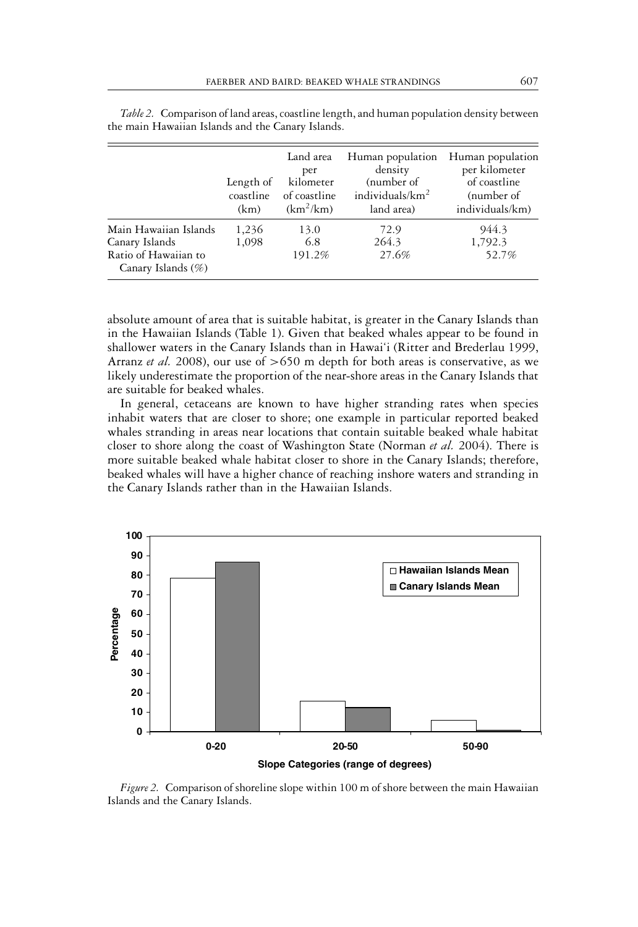|                                                                                          | Length of<br>coastline<br>(km) | Land area<br>per<br>kilometer<br>of coastline<br>$(km^2/km)$ | Human population<br>density<br>(number of<br>individuals/ $km^2$<br>land area) | Human population<br>per kilometer<br>of coastline<br>(number of<br>individuals/km) |
|------------------------------------------------------------------------------------------|--------------------------------|--------------------------------------------------------------|--------------------------------------------------------------------------------|------------------------------------------------------------------------------------|
| Main Hawaiian Islands<br>Canary Islands<br>Ratio of Hawaiian to<br>Canary Islands $(\%)$ | 1,236<br>1,098                 | 13.0<br>6.8<br>191.2%                                        | 72.9<br>264.3<br>27.6%                                                         | 944.3<br>1,792.3<br>52.7%                                                          |

*Table 2.* Comparison of land areas, coastline length, and human population density between the main Hawaiian Islands and the Canary Islands.

absolute amount of area that is suitable habitat, is greater in the Canary Islands than in the Hawaiian Islands (Table 1). Given that beaked whales appear to be found in shallower waters in the Canary Islands than in Hawai'i (Ritter and Brederlau 1999, Arranz *et al.* 2008), our use of >650 m depth for both areas is conservative, as we likely underestimate the proportion of the near-shore areas in the Canary Islands that are suitable for beaked whales.

In general, cetaceans are known to have higher stranding rates when species inhabit waters that are closer to shore; one example in particular reported beaked whales stranding in areas near locations that contain suitable beaked whale habitat closer to shore along the coast of Washington State (Norman *et al.* 2004). There is more suitable beaked whale habitat closer to shore in the Canary Islands; therefore, beaked whales will have a higher chance of reaching inshore waters and stranding in the Canary Islands rather than in the Hawaiian Islands.



*Figure 2.* Comparison of shoreline slope within 100 m of shore between the main Hawaiian Islands and the Canary Islands.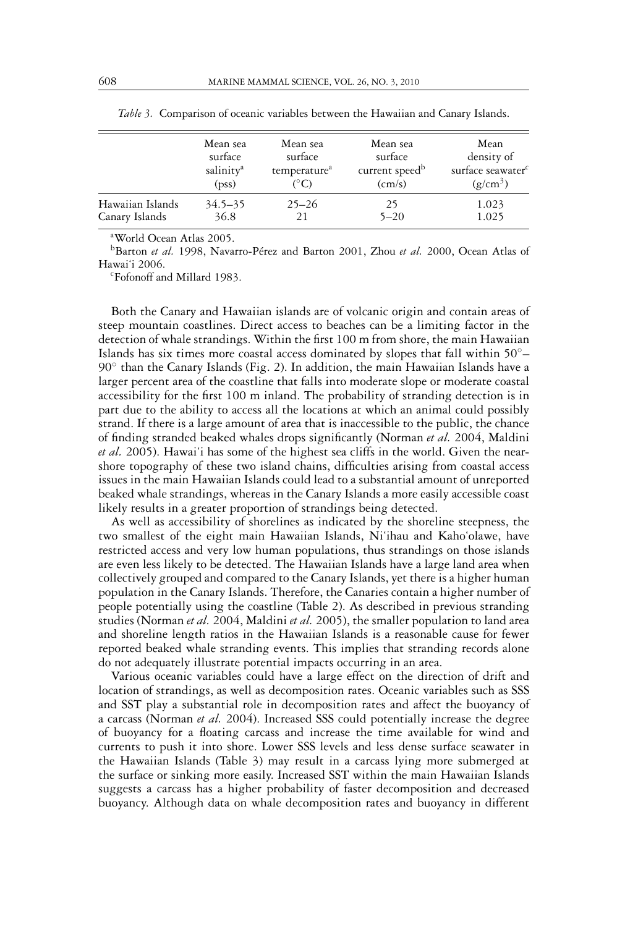|                  | Mean sea              | Mean sea                 | Mean sea                   | Mean                          |
|------------------|-----------------------|--------------------------|----------------------------|-------------------------------|
|                  | surface               | surface                  | surface                    | density of                    |
|                  | salinity <sup>a</sup> | temperature <sup>a</sup> | current speed <sup>b</sup> | surface seawater <sup>c</sup> |
|                  | (pss)                 | (°C)                     | $\text{(cm/s)}$            | $(g/cm^3)$                    |
| Hawaiian Islands | $34.5 - 35$           | $25 - 26$                | 25                         | 1.023                         |
| Canary Islands   | 36.8                  | 21                       | $5 - 20$                   | 1.025                         |

*Table 3.* Comparison of oceanic variables between the Hawaiian and Canary Islands.

a World Ocean Atlas 2005.

<sup>b</sup>Barton et al. 1998, Navarro-Pérez and Barton 2001, Zhou et al. 2000, Ocean Atlas of Hawai'i 2006

Fofonoff and Millard 1983.

Both the Canary and Hawaiian islands are of volcanic origin and contain areas of steep mountain coastlines. Direct access to beaches can be a limiting factor in the detection of whale strandings. Within the first 100 m from shore, the main Hawaiian Islands has six times more coastal access dominated by slopes that fall within 50◦– 90◦ than the Canary Islands (Fig. 2). In addition, the main Hawaiian Islands have a larger percent area of the coastline that falls into moderate slope or moderate coastal accessibility for the first 100 m inland. The probability of stranding detection is in part due to the ability to access all the locations at which an animal could possibly strand. If there is a large amount of area that is inaccessible to the public, the chance of finding stranded beaked whales drops significantly (Norman *et al.* 2004, Maldini *et al.* 2005). Hawai'i has some of the highest sea cliffs in the world. Given the nearshore topography of these two island chains, difficulties arising from coastal access issues in the main Hawaiian Islands could lead to a substantial amount of unreported beaked whale strandings, whereas in the Canary Islands a more easily accessible coast likely results in a greater proportion of strandings being detected.

As well as accessibility of shorelines as indicated by the shoreline steepness, the two smallest of the eight main Hawaiian Islands, Ni'ihau and Kaho'olawe, have restricted access and very low human populations, thus strandings on those islands are even less likely to be detected. The Hawaiian Islands have a large land area when collectively grouped and compared to the Canary Islands, yet there is a higher human population in the Canary Islands. Therefore, the Canaries contain a higher number of people potentially using the coastline (Table 2). As described in previous stranding studies (Norman *et al.* 2004, Maldini *et al.* 2005), the smaller population to land area and shoreline length ratios in the Hawaiian Islands is a reasonable cause for fewer reported beaked whale stranding events. This implies that stranding records alone do not adequately illustrate potential impacts occurring in an area.

Various oceanic variables could have a large effect on the direction of drift and location of strandings, as well as decomposition rates. Oceanic variables such as SSS and SST play a substantial role in decomposition rates and affect the buoyancy of a carcass (Norman *et al.* 2004). Increased SSS could potentially increase the degree of buoyancy for a floating carcass and increase the time available for wind and currents to push it into shore. Lower SSS levels and less dense surface seawater in the Hawaiian Islands (Table 3) may result in a carcass lying more submerged at the surface or sinking more easily. Increased SST within the main Hawaiian Islands suggests a carcass has a higher probability of faster decomposition and decreased buoyancy. Although data on whale decomposition rates and buoyancy in different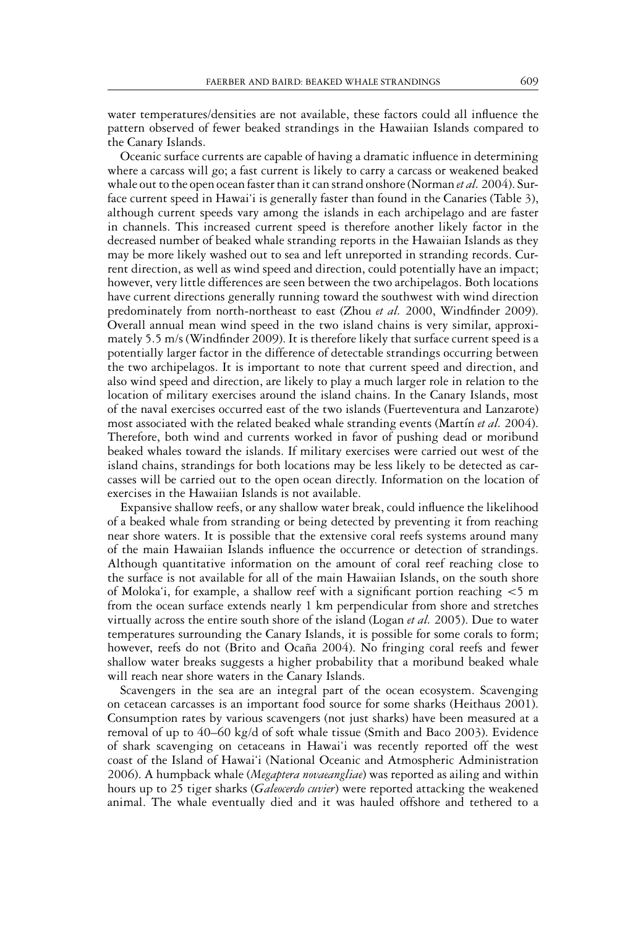water temperatures/densities are not available, these factors could all influence the pattern observed of fewer beaked strandings in the Hawaiian Islands compared to the Canary Islands.

Oceanic surface currents are capable of having a dramatic influence in determining where a carcass will go; a fast current is likely to carry a carcass or weakened beaked whale out to the open ocean faster than it can strand onshore (Norman *et al.* 2004). Surface current speed in Hawai'i is generally faster than found in the Canaries (Table 3), although current speeds vary among the islands in each archipelago and are faster in channels. This increased current speed is therefore another likely factor in the decreased number of beaked whale stranding reports in the Hawaiian Islands as they may be more likely washed out to sea and left unreported in stranding records. Current direction, as well as wind speed and direction, could potentially have an impact; however, very little differences are seen between the two archipelagos. Both locations have current directions generally running toward the southwest with wind direction predominately from north-northeast to east (Zhou *et al.* 2000, Windfinder 2009). Overall annual mean wind speed in the two island chains is very similar, approximately 5.5 m/s (Windfinder 2009). It is therefore likely that surface current speed is a potentially larger factor in the difference of detectable strandings occurring between the two archipelagos. It is important to note that current speed and direction, and also wind speed and direction, are likely to play a much larger role in relation to the location of military exercises around the island chains. In the Canary Islands, most of the naval exercises occurred east of the two islands (Fuerteventura and Lanzarote) most associated with the related beaked whale stranding events (Martín *et al.* 2004). Therefore, both wind and currents worked in favor of pushing dead or moribund beaked whales toward the islands. If military exercises were carried out west of the island chains, strandings for both locations may be less likely to be detected as carcasses will be carried out to the open ocean directly. Information on the location of exercises in the Hawaiian Islands is not available.

Expansive shallow reefs, or any shallow water break, could influence the likelihood of a beaked whale from stranding or being detected by preventing it from reaching near shore waters. It is possible that the extensive coral reefs systems around many of the main Hawaiian Islands influence the occurrence or detection of strandings. Although quantitative information on the amount of coral reef reaching close to the surface is not available for all of the main Hawaiian Islands, on the south shore of Moloka'i, for example, a shallow reef with a significant portion reaching <5 m from the ocean surface extends nearly 1 km perpendicular from shore and stretches virtually across the entire south shore of the island (Logan *et al.* 2005). Due to water temperatures surrounding the Canary Islands, it is possible for some corals to form; however, reefs do not (Brito and Ocaña 2004). No fringing coral reefs and fewer shallow water breaks suggests a higher probability that a moribund beaked whale will reach near shore waters in the Canary Islands.

Scavengers in the sea are an integral part of the ocean ecosystem. Scavenging on cetacean carcasses is an important food source for some sharks (Heithaus 2001). Consumption rates by various scavengers (not just sharks) have been measured at a removal of up to 40–60 kg/d of soft whale tissue (Smith and Baco 2003). Evidence of shark scavenging on cetaceans in Hawai'i was recently reported off the west coast of the Island of Hawai'i (National Oceanic and Atmospheric Administration 2006). A humpback whale (*Megaptera novaeangliae*) was reported as ailing and within hours up to 25 tiger sharks (*Galeocerdo cuvier*) were reported attacking the weakened animal. The whale eventually died and it was hauled offshore and tethered to a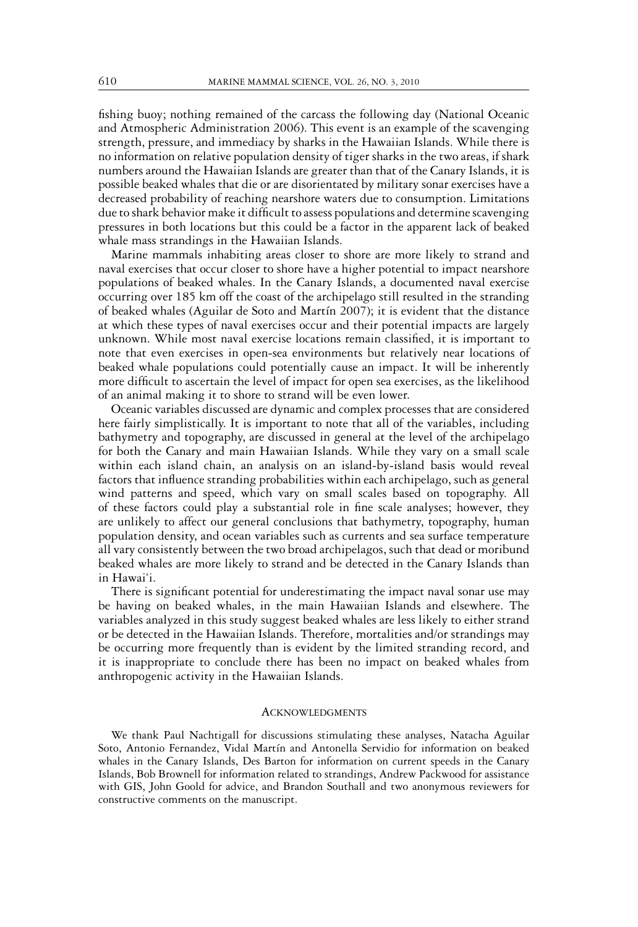fishing buoy; nothing remained of the carcass the following day (National Oceanic and Atmospheric Administration 2006). This event is an example of the scavenging strength, pressure, and immediacy by sharks in the Hawaiian Islands. While there is no information on relative population density of tiger sharks in the two areas, if shark numbers around the Hawaiian Islands are greater than that of the Canary Islands, it is possible beaked whales that die or are disorientated by military sonar exercises have a decreased probability of reaching nearshore waters due to consumption. Limitations due to shark behavior make it difficult to assess populations and determine scavenging pressures in both locations but this could be a factor in the apparent lack of beaked whale mass strandings in the Hawaiian Islands.

Marine mammals inhabiting areas closer to shore are more likely to strand and naval exercises that occur closer to shore have a higher potential to impact nearshore populations of beaked whales. In the Canary Islands, a documented naval exercise occurring over 185 km off the coast of the archipelago still resulted in the stranding of beaked whales (Aguilar de Soto and Martín 2007); it is evident that the distance at which these types of naval exercises occur and their potential impacts are largely unknown. While most naval exercise locations remain classified, it is important to note that even exercises in open-sea environments but relatively near locations of beaked whale populations could potentially cause an impact. It will be inherently more difficult to ascertain the level of impact for open sea exercises, as the likelihood of an animal making it to shore to strand will be even lower.

Oceanic variables discussed are dynamic and complex processes that are considered here fairly simplistically. It is important to note that all of the variables, including bathymetry and topography, are discussed in general at the level of the archipelago for both the Canary and main Hawaiian Islands. While they vary on a small scale within each island chain, an analysis on an island-by-island basis would reveal factors that influence stranding probabilities within each archipelago, such as general wind patterns and speed, which vary on small scales based on topography. All of these factors could play a substantial role in fine scale analyses; however, they are unlikely to affect our general conclusions that bathymetry, topography, human population density, and ocean variables such as currents and sea surface temperature all vary consistently between the two broad archipelagos, such that dead or moribund beaked whales are more likely to strand and be detected in the Canary Islands than in Hawai'i.

There is significant potential for underestimating the impact naval sonar use may be having on beaked whales, in the main Hawaiian Islands and elsewhere. The variables analyzed in this study suggest beaked whales are less likely to either strand or be detected in the Hawaiian Islands. Therefore, mortalities and/or strandings may be occurring more frequently than is evident by the limited stranding record, and it is inappropriate to conclude there has been no impact on beaked whales from anthropogenic activity in the Hawaiian Islands.

#### **ACKNOWLEDGMENTS**

We thank Paul Nachtigall for discussions stimulating these analyses, Natacha Aguilar Soto, Antonio Fernandez, Vidal Martín and Antonella Servidio for information on beaked whales in the Canary Islands, Des Barton for information on current speeds in the Canary Islands, Bob Brownell for information related to strandings, Andrew Packwood for assistance with GIS, John Goold for advice, and Brandon Southall and two anonymous reviewers for constructive comments on the manuscript.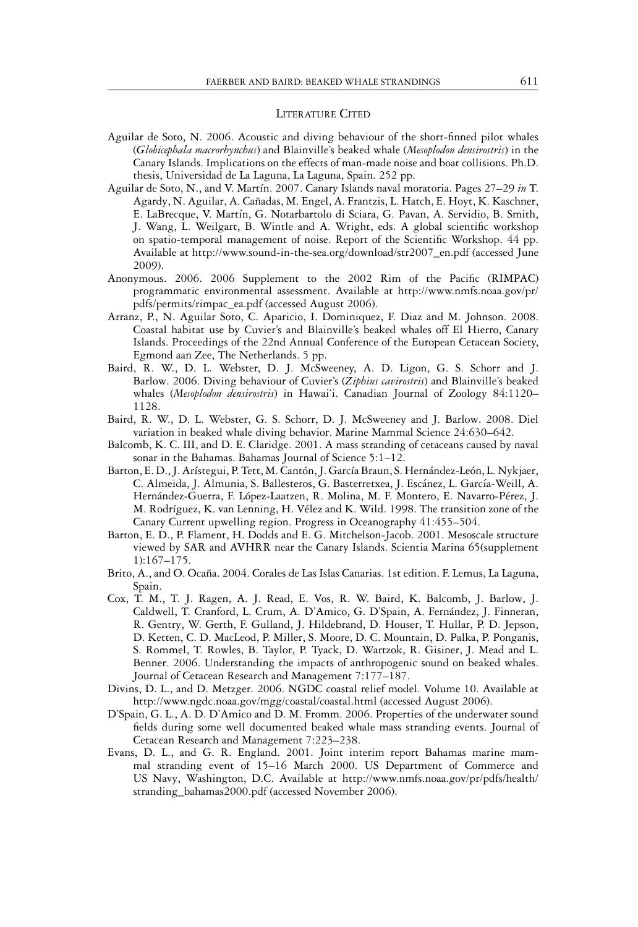#### LITERATURE CITED

- Aguilar de Soto, N. 2006. Acoustic and diving behaviour of the short-finned pilot whales (*Globicephala macrorhynchus*) and Blainville's beaked whale (*Mesoplodon densirostris*) in the Canary Islands. Implications on the effects of man-made noise and boat collisions. Ph.D. thesis, Universidad de La Laguna, La Laguna, Spain. 252 pp.
- Aguilar de Soto, N., and V. Mart´ın. 2007. Canary Islands naval moratoria. Pages 27–29 *in* T. Agardy, N. Aguilar, A. Cañadas, M. Engel, A. Frantzis, L. Hatch, E. Hoyt, K. Kaschner, E. LaBrecque, V. Martín, G. Notarbartolo di Sciara, G. Pavan, A. Servidio, B. Smith, J. Wang, L. Weilgart, B. Wintle and A. Wright, eds. A global scientific workshop on spatio-temporal management of noise. Report of the Scientific Workshop. 44 pp. Available at http://www.sound-in-the-sea.org/download/str2007\_en.pdf (accessed June 2009).
- Anonymous. 2006. 2006 Supplement to the 2002 Rim of the Pacific (RIMPAC) programmatic environmental assessment. Available at http://www.nmfs.noaa.gov/pr/ pdfs/permits/rimpac\_ea.pdf (accessed August 2006).
- Arranz, P., N. Aguilar Soto, C. Aparicio, I. Dominiquez, F. Diaz and M. Johnson. 2008. Coastal habitat use by Cuvier's and Blainville's beaked whales off El Hierro, Canary Islands. Proceedings of the 22nd Annual Conference of the European Cetacean Society, Egmond aan Zee, The Netherlands. 5 pp.
- Baird, R. W., D. L. Webster, D. J. McSweeney, A. D. Ligon, G. S. Schorr and J. Barlow. 2006. Diving behaviour of Cuvier's (*Ziphius cavirostris*) and Blainville's beaked whales (*Mesoplodon densirostris*) in Hawai'i. Canadian Journal of Zoology 84:1120– 1128.
- Baird, R. W., D. L. Webster, G. S. Schorr, D. J. McSweeney and J. Barlow. 2008. Diel variation in beaked whale diving behavior. Marine Mammal Science 24:630–642.
- Balcomb, K. C. III, and D. E. Claridge. 2001. A mass stranding of cetaceans caused by naval sonar in the Bahamas. Bahamas Journal of Science 5:1–12.
- Barton, E. D., J. Arístegui, P. Tett, M. Cantón, J. García Braun, S. Hernández-León, L. Nykjaer, C. Almeida, J. Almunia, S. Ballesteros, G. Basterretxea, J. Escánez, L. García-Weill, A. Hernández-Guerra, F. López-Laatzen, R. Molina, M. F. Montero, E. Navarro-Pérez, J. M. Rodríguez, K. van Lenning, H. Vélez and K. Wild. 1998. The transition zone of the Canary Current upwelling region. Progress in Oceanography 41:455–504.
- Barton, E. D., P. Flament, H. Dodds and E. G. Mitchelson-Jacob. 2001. Mesoscale structure viewed by SAR and AVHRR near the Canary Islands. Scientia Marina 65(supplement 1):167–175.
- Brito, A., and O. Ocaña. 2004. Corales de Las Islas Canarias. 1st edition. F. Lemus, La Laguna, Spain.
- Cox, T. M., T. J. Ragen, A. J. Read, E. Vos, R. W. Baird, K. Balcomb, J. Barlow, J. Caldwell, T. Cranford, L. Crum, A. D'Amico, G. D'Spain, A. Fernández, J. Finneran, R. Gentry, W. Gerth, F. Gulland, J. Hildebrand, D. Houser, T. Hullar, P. D. Jepson, D. Ketten, C. D. MacLeod, P. Miller, S. Moore, D. C. Mountain, D. Palka, P. Ponganis, S. Rommel, T. Rowles, B. Taylor, P. Tyack, D. Wartzok, R. Gisiner, J. Mead and L. Benner. 2006. Understanding the impacts of anthropogenic sound on beaked whales. Journal of Cetacean Research and Management 7:177–187.
- Divins, D. L., and D. Metzger. 2006. NGDC coastal relief model. Volume 10. Available at http://www.ngdc.noaa.gov/mgg/coastal/coastal.html (accessed August 2006).
- D'Spain, G. L., A. D. D'Amico and D. M. Fromm. 2006. Properties of the underwater sound fields during some well documented beaked whale mass stranding events. Journal of Cetacean Research and Management 7:223–238.
- Evans, D. L., and G. R. England. 2001. Joint interim report Bahamas marine mammal stranding event of 15–16 March 2000. US Department of Commerce and US Navy, Washington, D.C. Available at http://www.nmfs.noaa.gov/pr/pdfs/health/ stranding\_bahamas2000.pdf (accessed November 2006).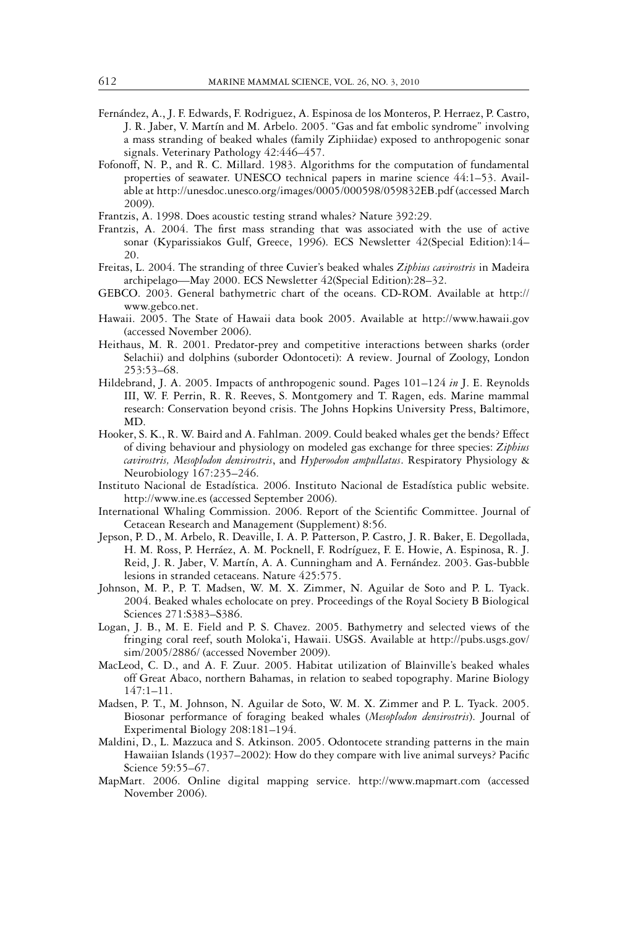- Fernandez, A., J. F. Edwards, F. Rodriguez, A. Espinosa de los Monteros, P. Herraez, P. Castro, ´ J. R. Jaber, V. Martín and M. Arbelo. 2005. "Gas and fat embolic syndrome" involving a mass stranding of beaked whales (family Ziphiidae) exposed to anthropogenic sonar signals. Veterinary Pathology 42:446–457.
- Fofonoff, N. P., and R. C. Millard. 1983. Algorithms for the computation of fundamental properties of seawater. UNESCO technical papers in marine science 44:1–53. Available at http://unesdoc.unesco.org/images/0005/000598/059832EB.pdf (accessed March 2009).
- Frantzis, A. 1998. Does acoustic testing strand whales? Nature 392:29.
- Frantzis, A. 2004. The first mass stranding that was associated with the use of active sonar (Kyparissiakos Gulf, Greece, 1996). ECS Newsletter 42(Special Edition):14– 20.
- Freitas, L. 2004. The stranding of three Cuvier's beaked whales *Ziphius cavirostris* in Madeira archipelago—May 2000. ECS Newsletter 42(Special Edition):28–32.
- GEBCO. 2003. General bathymetric chart of the oceans. CD-ROM. Available at http:// www.gebco.net.
- Hawaii. 2005. The State of Hawaii data book 2005. Available at http://www.hawaii.gov (accessed November 2006).
- Heithaus, M. R. 2001. Predator-prey and competitive interactions between sharks (order Selachii) and dolphins (suborder Odontoceti): A review. Journal of Zoology, London 253:53–68.
- Hildebrand, J. A. 2005. Impacts of anthropogenic sound. Pages 101–124 *in* J. E. Reynolds III, W. F. Perrin, R. R. Reeves, S. Montgomery and T. Ragen, eds. Marine mammal research: Conservation beyond crisis. The Johns Hopkins University Press, Baltimore, MD.
- Hooker, S. K., R. W. Baird and A. Fahlman. 2009. Could beaked whales get the bends? Effect of diving behaviour and physiology on modeled gas exchange for three species: *Ziphius cavirostris, Mesoplodon densirostris*, and *Hyperoodon ampullatus*. Respiratory Physiology & Neurobiology 167:235–246.
- Instituto Nacional de Estadística. 2006. Instituto Nacional de Estadística public website. http://www.ine.es (accessed September 2006).
- International Whaling Commission. 2006. Report of the Scientific Committee. Journal of Cetacean Research and Management (Supplement) 8:56.
- Jepson, P. D., M. Arbelo, R. Deaville, I. A. P. Patterson, P. Castro, J. R. Baker, E. Degollada, H. M. Ross, P. Herráez, A. M. Pocknell, F. Rodríguez, F. E. Howie, A. Espinosa, R. J. Reid, J. R. Jaber, V. Martín, A. A. Cunningham and A. Fernández. 2003. Gas-bubble lesions in stranded cetaceans. Nature 425:575.
- Johnson, M. P., P. T. Madsen, W. M. X. Zimmer, N. Aguilar de Soto and P. L. Tyack. 2004. Beaked whales echolocate on prey. Proceedings of the Royal Society B Biological Sciences 271:S383–S386.
- Logan, J. B., M. E. Field and P. S. Chavez. 2005. Bathymetry and selected views of the fringing coral reef, south Moloka'i, Hawaii. USGS. Available at http://pubs.usgs.gov/ sim/2005/2886/ (accessed November 2009).
- MacLeod, C. D., and A. F. Zuur. 2005. Habitat utilization of Blainville's beaked whales off Great Abaco, northern Bahamas, in relation to seabed topography. Marine Biology 147:1–11.
- Madsen, P. T., M. Johnson, N. Aguilar de Soto, W. M. X. Zimmer and P. L. Tyack. 2005. Biosonar performance of foraging beaked whales (*Mesoplodon densirostris*). Journal of Experimental Biology 208:181–194.
- Maldini, D., L. Mazzuca and S. Atkinson. 2005. Odontocete stranding patterns in the main Hawaiian Islands (1937–2002): How do they compare with live animal surveys? Pacific Science 59:55–67.
- MapMart. 2006. Online digital mapping service. http://www.mapmart.com (accessed November 2006).